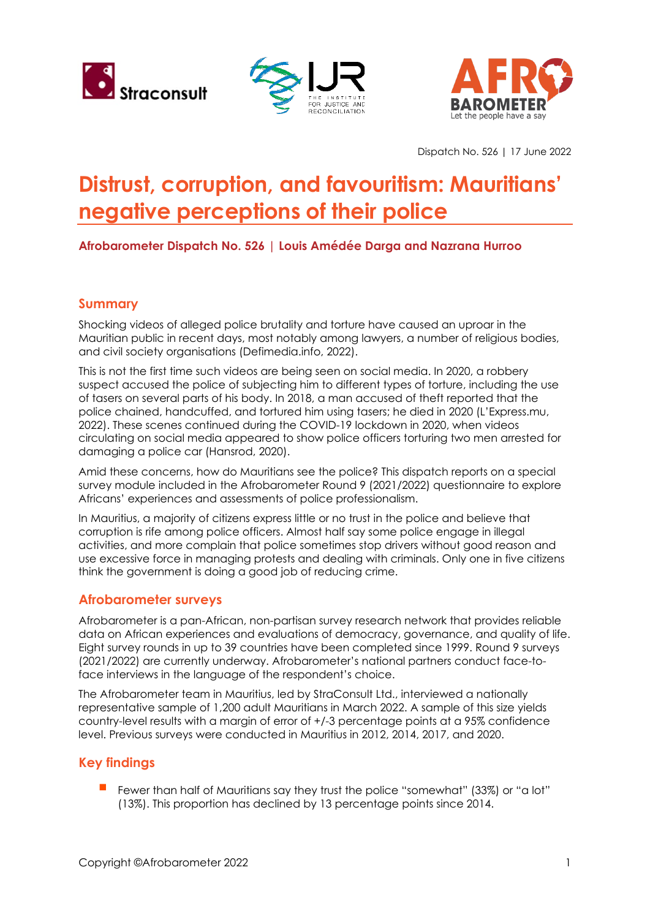





Dispatch No. 526 | 17 June 2022

# **Distrust, corruption, and favouritism: Mauritians' negative perceptions of their police**

## **Afrobarometer Dispatch No. 526 | Louis Amédée Darga and Nazrana Hurroo**

#### **Summary**

Shocking videos of alleged police brutality and torture have caused an uproar in the Mauritian public in recent days, most notably among lawyers, a number of religious bodies, and civil society organisations (Defimedia.info, 2022).

This is not the first time such videos are being seen on social media. In 2020, a robbery suspect accused the police of subjecting him to different types of torture, including the use of tasers on several parts of his body. In 2018, a man accused of theft reported that the police chained, handcuffed, and tortured him using tasers; he died in 2020 (L'Express.mu, 2022). These scenes continued during the COVID-19 lockdown in 2020, when videos circulating on social media appeared to show police officers torturing two men arrested for damaging a police car (Hansrod, 2020).

Amid these concerns, how do Mauritians see the police? This dispatch reports on a special survey module included in the Afrobarometer Round 9 (2021/2022) questionnaire to explore Africans' experiences and assessments of police professionalism.

In Mauritius, a majority of citizens express little or no trust in the police and believe that corruption is rife among police officers. Almost half say some police engage in illegal activities, and more complain that police sometimes stop drivers without good reason and use excessive force in managing protests and dealing with criminals. Only one in five citizens think the government is doing a good job of reducing crime.

### **Afrobarometer surveys**

Afrobarometer is a pan-African, non-partisan survey research network that provides reliable data on African experiences and evaluations of democracy, governance, and quality of life. Eight survey rounds in up to 39 countries have been completed since 1999. Round 9 surveys (2021/2022) are currently underway. Afrobarometer's national partners conduct face-toface interviews in the language of the respondent's choice.

The Afrobarometer team in Mauritius, led by StraConsult Ltd., interviewed a nationally representative sample of 1,200 adult Mauritians in March 2022. A sample of this size yields country-level results with a margin of error of +/-3 percentage points at a 95% confidence level. Previous surveys were conducted in Mauritius in 2012, 2014, 2017, and 2020.

# **Key findings**

 Fewer than half of Mauritians say they trust the police "somewhat" (33%) or "a lot" (13%). This proportion has declined by 13 percentage points since 2014.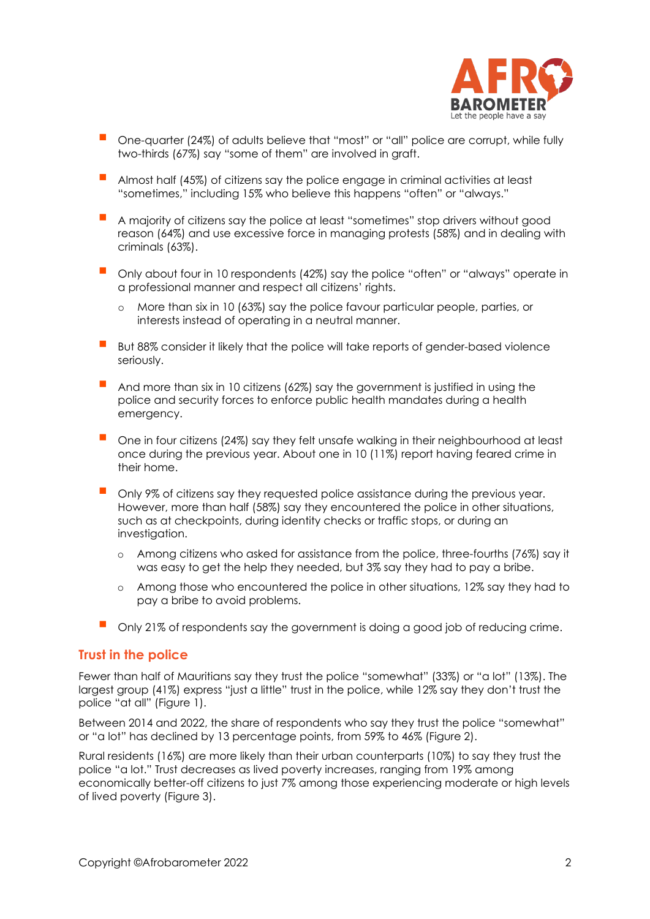

- One-quarter (24%) of adults believe that "most" or "all" police are corrupt, while fully two-thirds (67%) say "some of them" are involved in graft.
- Almost half (45%) of citizens say the police engage in criminal activities at least "sometimes," including 15% who believe this happens "often" or "always."
- A majority of citizens say the police at least "sometimes" stop drivers without good reason (64%) and use excessive force in managing protests (58%) and in dealing with criminals (63%).
- Only about four in 10 respondents (42%) say the police "often" or "always" operate in a professional manner and respect all citizens' rights.
	- o More than six in 10 (63%) say the police favour particular people, parties, or interests instead of operating in a neutral manner.
- But 88% consider it likely that the police will take reports of gender-based violence seriously.
- And more than six in 10 citizens (62%) say the government is justified in using the police and security forces to enforce public health mandates during a health emergency.
- One in four citizens (24%) say they felt unsafe walking in their neighbourhood at least once during the previous year. About one in 10 (11%) report having feared crime in their home.
- Only 9% of citizens say they requested police assistance during the previous year. However, more than half (58%) say they encountered the police in other situations, such as at checkpoints, during identity checks or traffic stops, or during an investigation.
	- o Among citizens who asked for assistance from the police, three-fourths (76%) say it was easy to get the help they needed, but 3% say they had to pay a bribe.
	- o Among those who encountered the police in other situations, 12% say they had to pay a bribe to avoid problems.
- **Delach 21% of respondents say the government is doing a good job of reducing crime.**

#### **Trust in the police**

Fewer than half of Mauritians say they trust the police "somewhat" (33%) or "a lot" (13%). The largest group (41%) express "just a little" trust in the police, while 12% say they don't trust the police "at all" (Figure 1).

Between 2014 and 2022, the share of respondents who say they trust the police "somewhat" or "a lot" has declined by 13 percentage points, from 59% to 46% (Figure 2).

Rural residents (16%) are more likely than their urban counterparts (10%) to say they trust the police "a lot." Trust decreases as lived poverty increases, ranging from 19% among economically better-off citizens to just 7% among those experiencing moderate or high levels of lived poverty (Figure 3).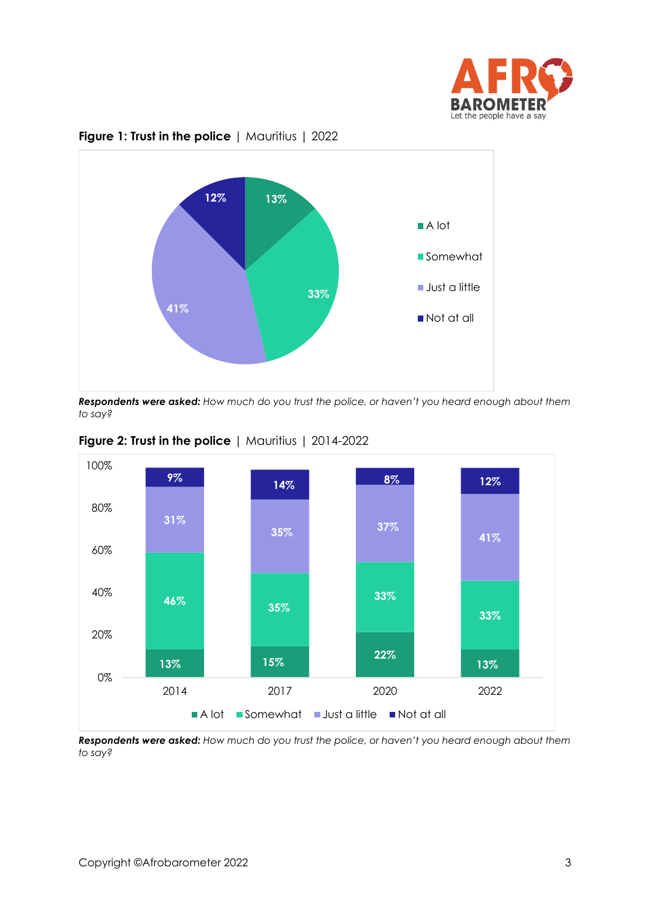



#### **Figure 1: Trust in the police** | Mauritius | 2022

*Respondents were asked: How much do you trust the police, or haven't you heard enough about them to say?* 





*Respondents were asked: How much do you trust the police, or haven't you heard enough about them to say?*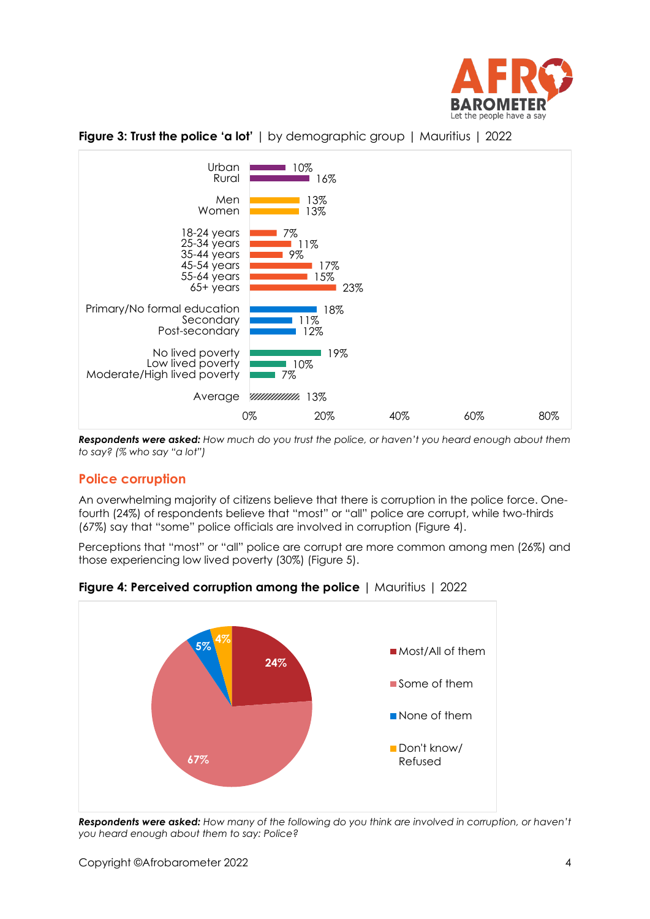





*Respondents were asked: How much do you trust the police, or haven't you heard enough about them to say? (% who say "a lot")*

### **Police corruption**

An overwhelming majority of citizens believe that there is corruption in the police force. Onefourth (24%) of respondents believe that "most" or "all" police are corrupt, while two-thirds (67%) say that "some" police officials are involved in corruption (Figure 4).

Perceptions that "most" or "all" police are corrupt are more common among men (26%) and those experiencing low lived poverty (30%) (Figure 5).



**Figure 4: Perceived corruption among the police** | Mauritius | 2022

*Respondents were asked: How many of the following do you think are involved in corruption, or haven't you heard enough about them to say: Police?*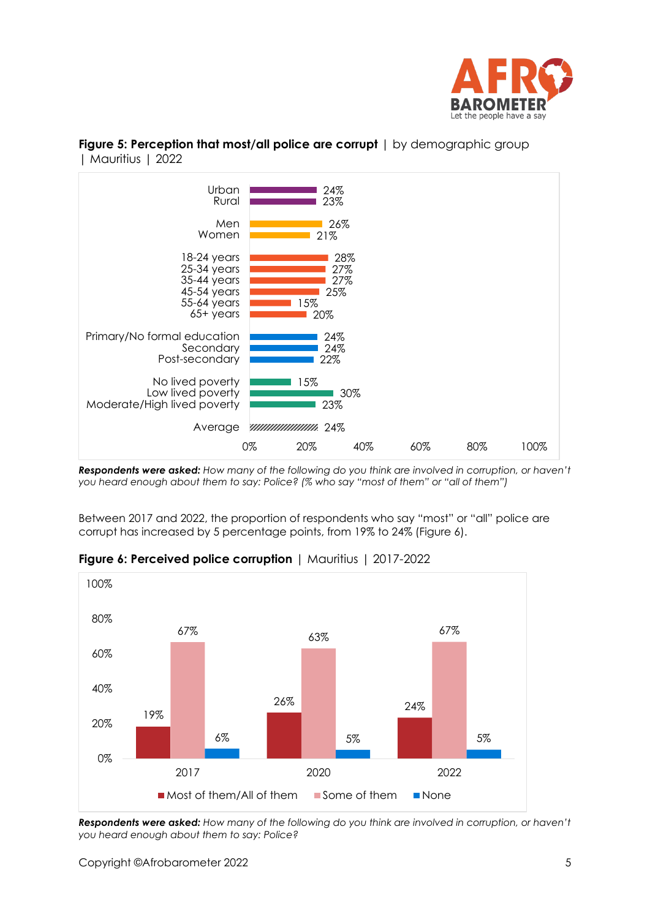



#### **Figure 5: Perception that most/all police are corrupt**  $|$  by demographic group | Mauritius | 2022

*Respondents were asked: How many of the following do you think are involved in corruption, or haven't you heard enough about them to say: Police? (% who say "most of them" or "all of them")*

Between 2017 and 2022, the proportion of respondents who say "most" or "all" police are corrupt has increased by 5 percentage points, from 19% to 24% (Figure 6).



### **Figure 6: Perceived police corruption** | Mauritius | 2017-2022

*Respondents were asked: How many of the following do you think are involved in corruption, or haven't you heard enough about them to say: Police?*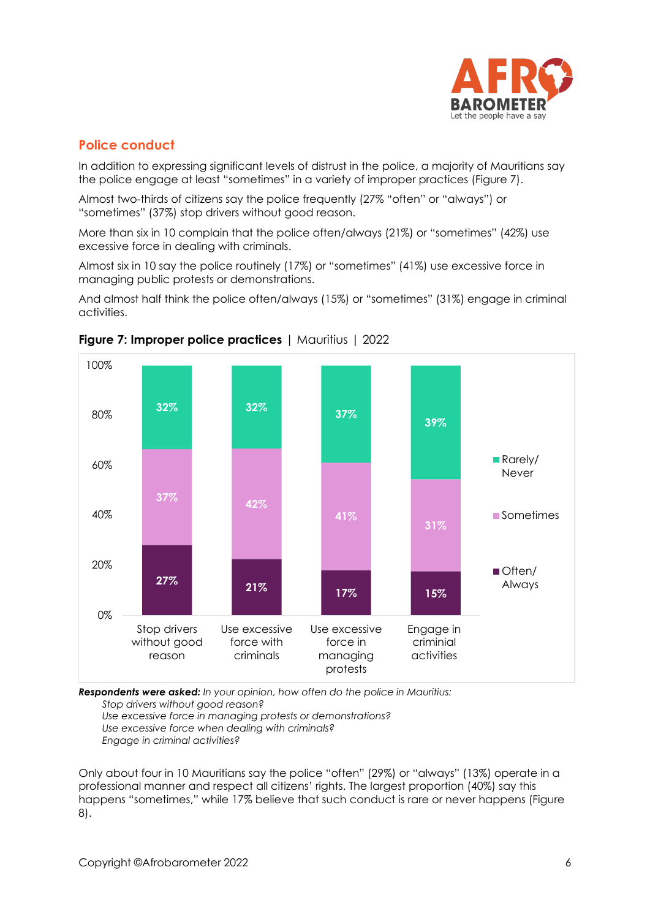

# **Police conduct**

In addition to expressing significant levels of distrust in the police, a majority of Mauritians say the police engage at least "sometimes" in a variety of improper practices (Figure 7).

Almost two-thirds of citizens say the police frequently (27% "often" or "always") or "sometimes" (37%) stop drivers without good reason.

More than six in 10 complain that the police often/always (21%) or "sometimes" (42%) use excessive force in dealing with criminals.

Almost six in 10 say the police routinely (17%) or "sometimes" (41%) use excessive force in managing public protests or demonstrations.

And almost half think the police often/always (15%) or "sometimes" (31%) engage in criminal activities.





*Respondents were asked: In your opinion, how often do the police in Mauritius: Stop drivers without good reason?*

*Use excessive force in managing protests or demonstrations?*

*Use excessive force when dealing with criminals?*

*Engage in criminal activities?*

Only about four in 10 Mauritians say the police "often" (29%) or "always" (13%) operate in a professional manner and respect all citizens' rights. The largest proportion (40%) say this happens "sometimes," while 17% believe that such conduct is rare or never happens (Figure 8).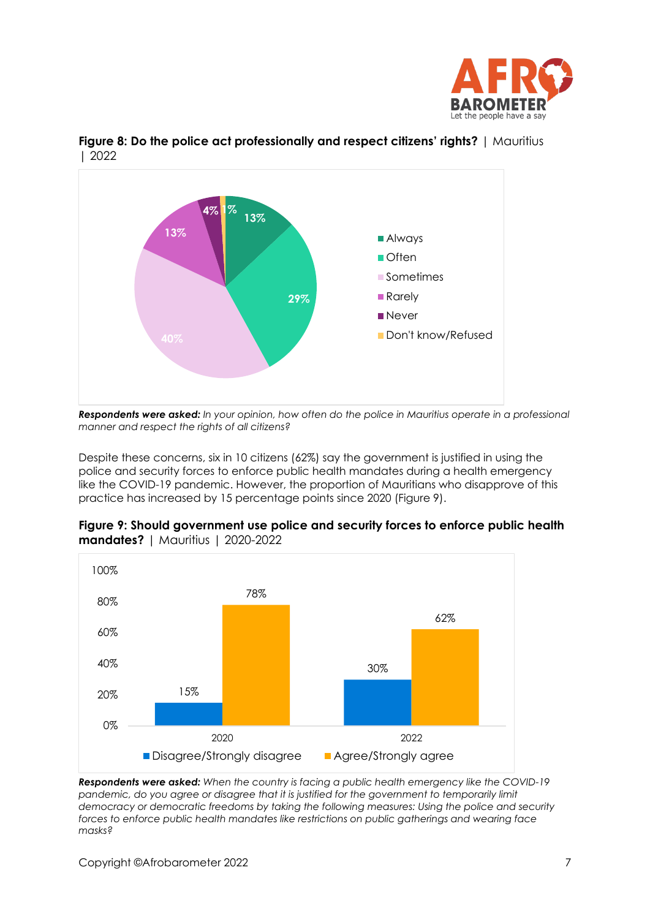



**Figure 8: Do the police act professionally and respect citizens' rights?** | Mauritius | 2022

*Respondents were asked: In your opinion, how often do the police in Mauritius operate in a professional manner and respect the rights of all citizens?*

Despite these concerns, six in 10 citizens (62%) say the government is justified in using the police and security forces to enforce public health mandates during a health emergency like the COVID-19 pandemic. However, the proportion of Mauritians who disapprove of this practice has increased by 15 percentage points since 2020 (Figure 9).



**Figure 9: Should government use police and security forces to enforce public health mandates?** | Mauritius | 2020-2022

*Respondents were asked: When the country is facing a public health emergency like the COVID-19*  pandemic, do you agree or disagree that it is justified for the government to temporarily limit *democracy or democratic freedoms by taking the following measures: Using the police and security forces to enforce public health mandates like restrictions on public gatherings and wearing face masks?*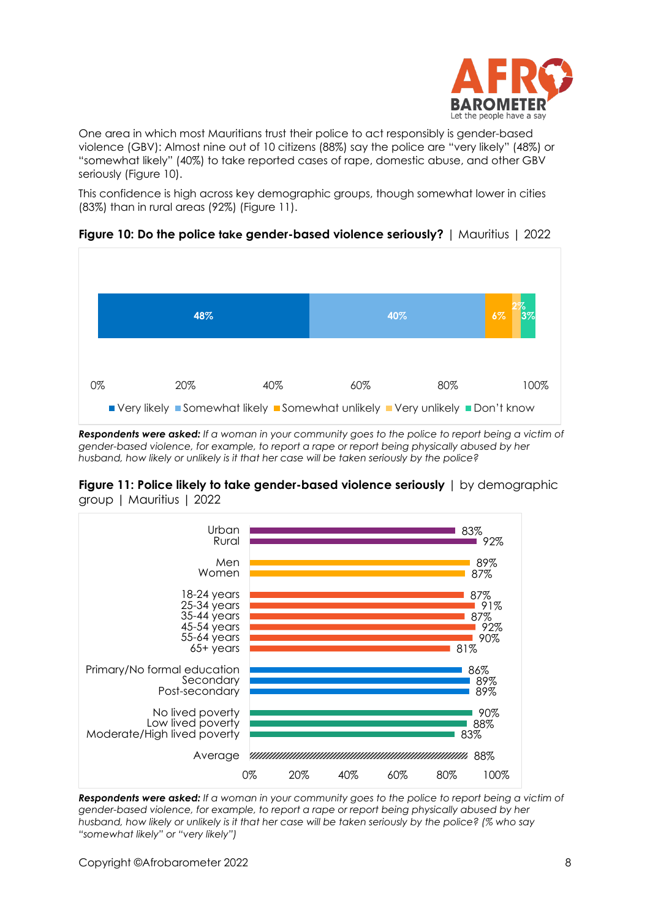

One area in which most Mauritians trust their police to act responsibly is gender-based violence (GBV): Almost nine out of 10 citizens (88%) say the police are "very likely" (48%) or "somewhat likely" (40%) to take reported cases of rape, domestic abuse, and other GBV seriously (Figure 10).

This confidence is high across key demographic groups, though somewhat lower in cities (83%) than in rural areas (92%) (Figure 11).





*Respondents were asked: If a woman in your community goes to the police to report being a victim of gender-based violence, for example, to report a rape or report being physically abused by her husband, how likely or unlikely is it that her case will be taken seriously by the police?* 





*Respondents were asked: If a woman in your community goes to the police to report being a victim of gender-based violence, for example, to report a rape or report being physically abused by her husband, how likely or unlikely is it that her case will be taken seriously by the police? (% who say "somewhat likely" or "very likely")*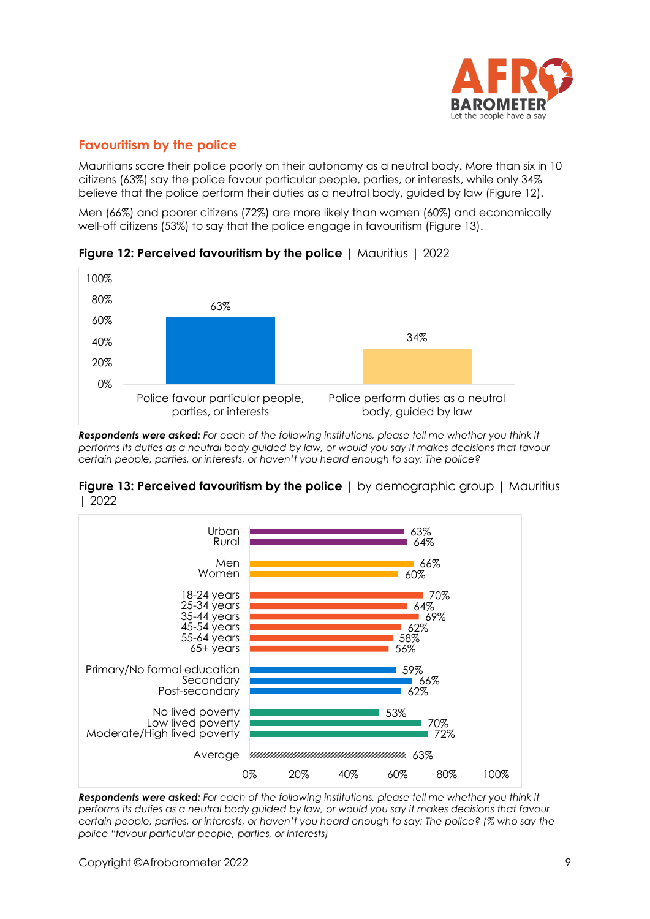

# **Favouritism by the police**

Mauritians score their police poorly on their autonomy as a neutral body. More than six in 10 citizens (63%) say the police favour particular people, parties, or interests, while only 34% believe that the police perform their duties as a neutral body, guided by law (Figure 12).

Men (66%) and poorer citizens (72%) are more likely than women (60%) and economically well-off citizens (53%) to say that the police engage in favouritism (Figure 13).



**Figure 12: Perceived favouritism by the police** | Mauritius | 2022

*Respondents were asked: For each of the following institutions, please tell me whether you think it performs its duties as a neutral body guided by law, or would you say it makes decisions that favour certain people, parties, or interests, or haven't you heard enough to say: The police?*





*Respondents were asked: For each of the following institutions, please tell me whether you think it performs its duties as a neutral body guided by law, or would you say it makes decisions that favour certain people, parties, or interests, or haven't you heard enough to say: The police? (% who say the police "favour particular people, parties, or interests)*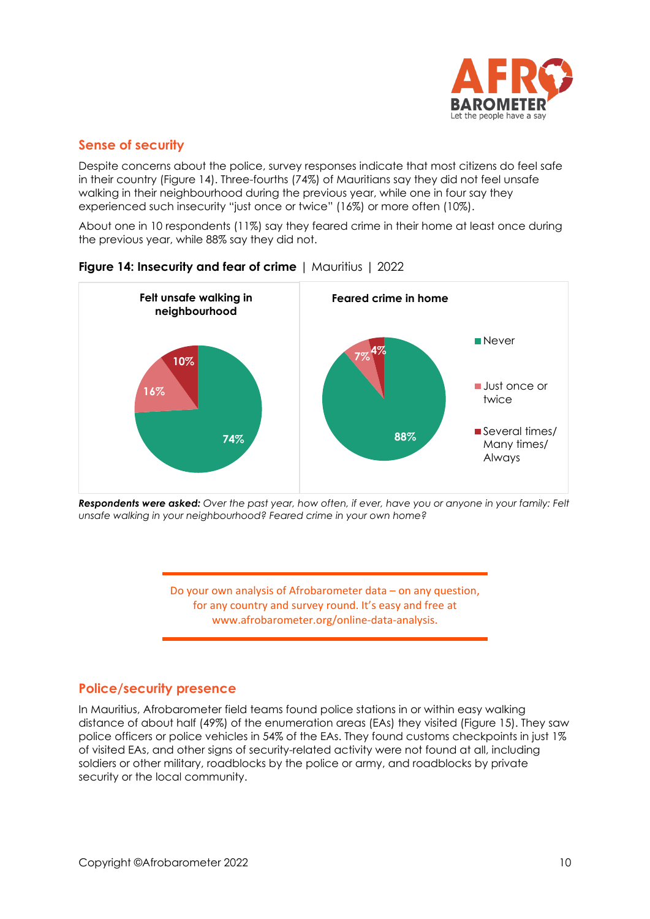

## **Sense of security**

Despite concerns about the police, survey responses indicate that most citizens do feel safe in their country (Figure 14). Three-fourths (74%) of Mauritians say they did not feel unsafe walking in their neighbourhood during the previous year, while one in four say they experienced such insecurity "just once or twice" (16%) or more often (10%).

About one in 10 respondents (11%) say they feared crime in their home at least once during the previous year, while 88% say they did not.



**Figure 14: Insecurity and fear of crime** | Mauritius | 2022

*Respondents were asked: Over the past year, how often, if ever, have you or anyone in your family: Felt unsafe walking in your neighbourhood? Feared crime in your own home?* 

> Do your own analysis of Afrobarometer data – on any question, for any country and survey round. It's easy and free at www.afrobarometer.org/online-data-analysis.

# **Police/security presence**

In Mauritius, Afrobarometer field teams found police stations in or within easy walking distance of about half (49%) of the enumeration areas (EAs) they visited (Figure 15). They saw police officers or police vehicles in 54% of the EAs. They found customs checkpoints in just 1% of visited EAs, and other signs of security-related activity were not found at all, including soldiers or other military, roadblocks by the police or army, and roadblocks by private security or the local community.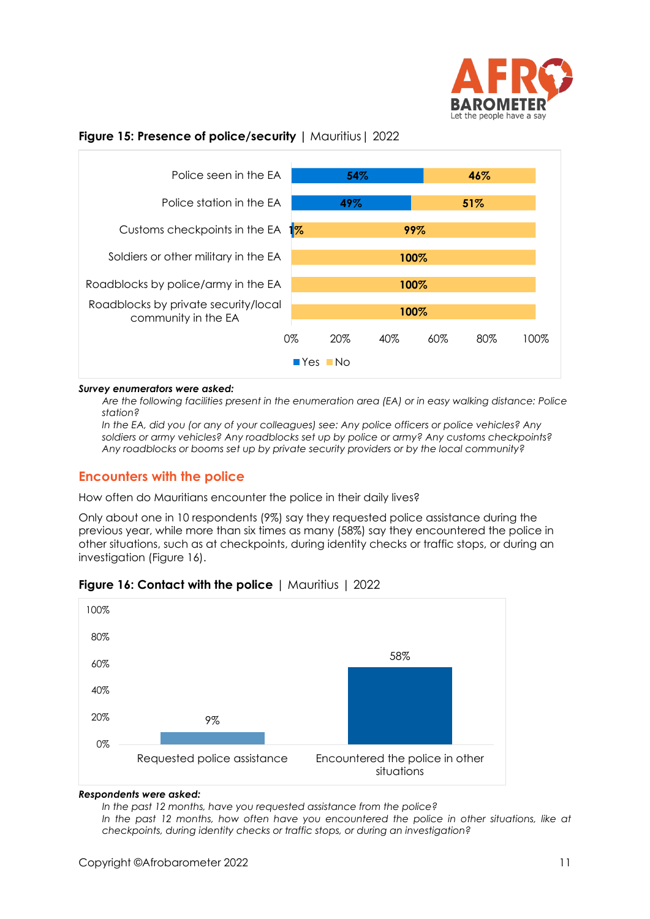

#### **Figure 15: Presence of police/security |** Mauritius| 2022



#### *Survey enumerators were asked:*

*Are the following facilities present in the enumeration area (EA) or in easy walking distance: Police station?*

*In the EA, did you (or any of your colleagues) see: Any police officers or police vehicles? Any soldiers or army vehicles? Any roadblocks set up by police or army? Any customs checkpoints? Any roadblocks or booms set up by private security providers or by the local community?*

#### **Encounters with the police**

How often do Mauritians encounter the police in their daily lives?

Only about one in 10 respondents (9%) say they requested police assistance during the previous year, while more than six times as many (58%) say they encountered the police in other situations, such as at checkpoints, during identity checks or traffic stops, or during an investigation (Figure 16).



#### **Figure 16: Contact with the police** | Mauritius | 2022

#### *Respondents were asked:*

*In the past 12 months, have you requested assistance from the police?* 

In the past 12 months, how often have you encountered the police in other situations, like at *checkpoints, during identity checks or traffic stops, or during an investigation?*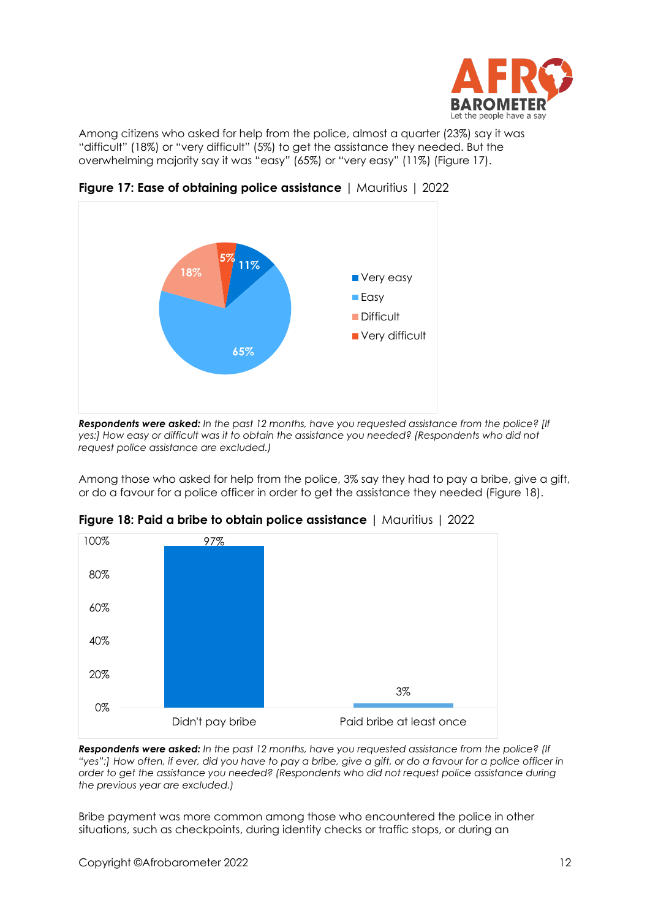

Among citizens who asked for help from the police, almost a quarter (23%) say it was "difficult" (18%) or "very difficult" (5%) to get the assistance they needed. But the overwhelming majority say it was "easy" (65%) or "very easy" (11%) (Figure 17).



**Figure 17: Ease of obtaining police assistance** | Mauritius | 2022

Among those who asked for help from the police, 3% say they had to pay a bribe, give a gift, or do a favour for a police officer in order to get the assistance they needed (Figure 18).



**Figure 18: Paid a bribe to obtain police assistance** | Mauritius | 2022

*Respondents were asked: In the past 12 months, have you requested assistance from the police? (If "yes":] How often, if ever, did you have to pay a bribe, give a gift, or do a favour for a police officer in order to get the assistance you needed? (Respondents who did not request police assistance during the previous year are excluded.)*

Bribe payment was more common among those who encountered the police in other situations, such as checkpoints, during identity checks or traffic stops, or during an

*Respondents were asked: In the past 12 months, have you requested assistance from the police? [If yes:] How easy or difficult was it to obtain the assistance you needed? (Respondents who did not request police assistance are excluded.)*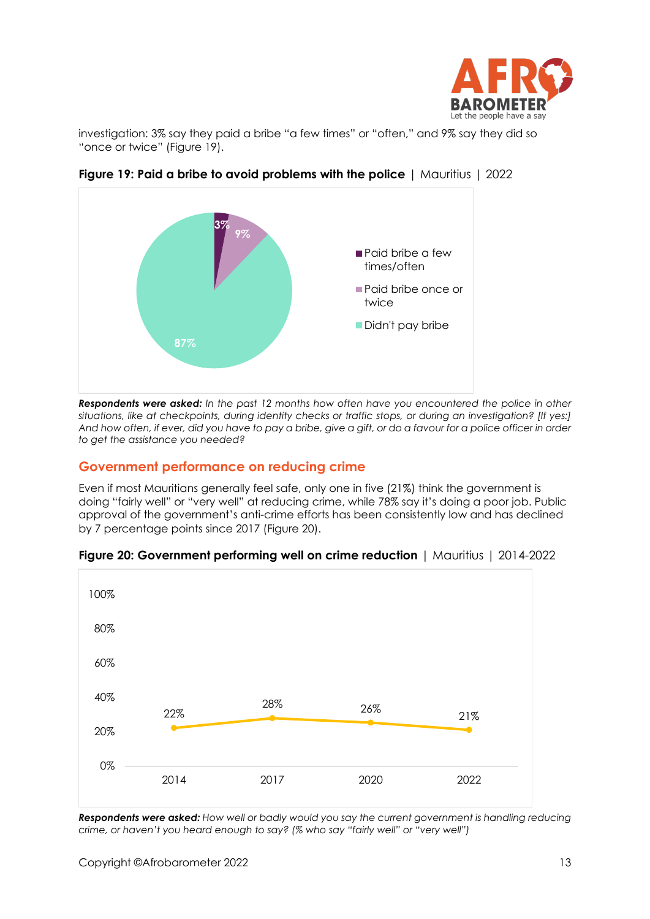

investigation: 3% say they paid a bribe "a few times" or "often," and 9% say they did so "once or twice" (Figure 19).



**Figure 19: Paid a bribe to avoid problems with the police** | Mauritius | 2022

*Respondents were asked: In the past 12 months how often have you encountered the police in other*  situations, like at checkpoints, during identity checks or traffic stops, or during an investigation? [If yes:] *And how often, if ever, did you have to pay a bribe, give a gift, or do a favour for a police officer in order to get the assistance you needed?*

# **Government performance on reducing crime**

Even if most Mauritians generally feel safe, only one in five (21%) think the government is doing "fairly well" or "very well" at reducing crime, while 78% say it's doing a poor job. Public approval of the government's anti-crime efforts has been consistently low and has declined by 7 percentage points since 2017 (Figure 20).



#### **Figure 20: Government performing well on crime reduction** | Mauritius | 2014-2022

*Respondents were asked: How well or badly would you say the current government is handling reducing crime, or haven't you heard enough to say? (% who say "fairly well" or "very well")*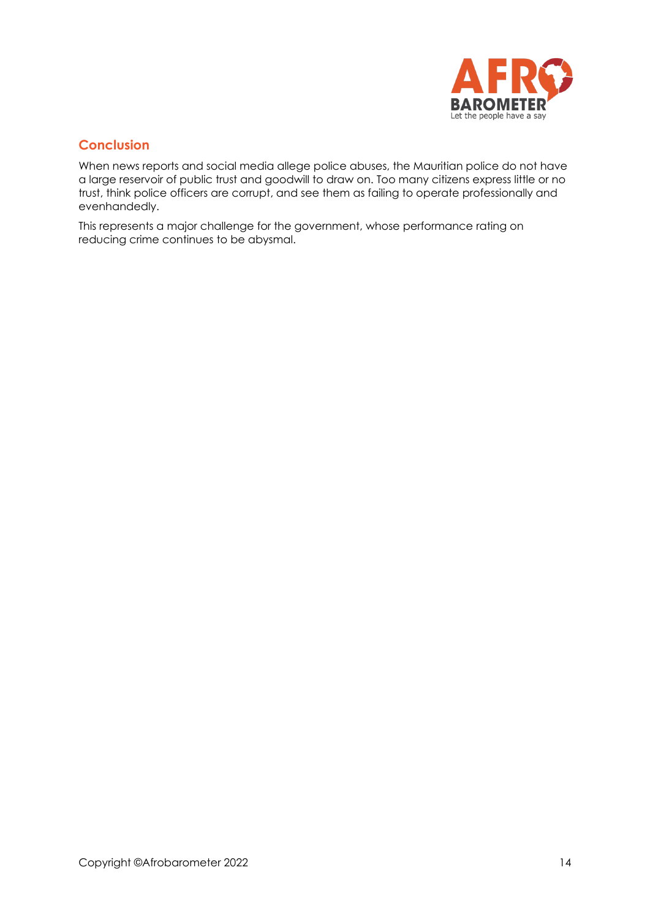

# **Conclusion**

When news reports and social media allege police abuses, the Mauritian police do not have a large reservoir of public trust and goodwill to draw on. Too many citizens express little or no trust, think police officers are corrupt, and see them as failing to operate professionally and evenhandedly.

This represents a major challenge for the government, whose performance rating on reducing crime continues to be abysmal.